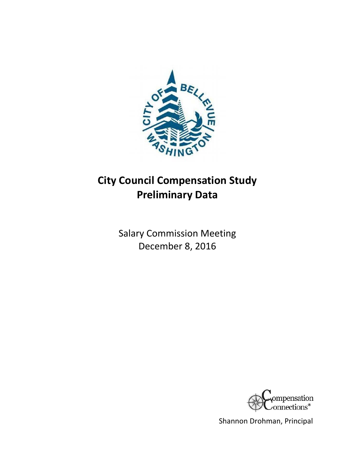

# **City Council Compensation Study Preliminary Data**

Salary Commission Meeting December 8, 2016



Shannon Drohman, Principal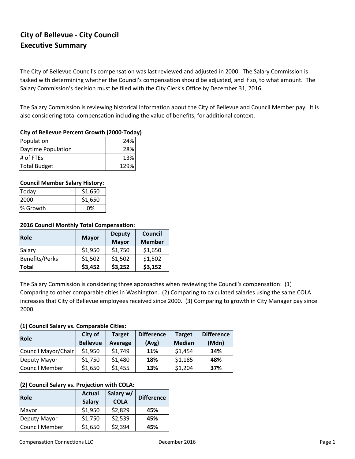# **City of Bellevue ‐ City Council Executive Summary**

The City of Bellevue Council's compensation was last reviewed and adjusted in 2000. The Salary Commission is tasked with determining whether the Council's compensation should be adjusted, and if so, to what amount. The Salary Commission's decision must be filed with the City Clerk's Office by December 31, 2016.

The Salary Commission is reviewing historical information about the City of Bellevue and Council Member pay. It is also considering total compensation including the value of benefits, for additional context.

# **City of Bellevue Percent Growth (2000‐Today)**

| Population         | 24%  |
|--------------------|------|
| Daytime Population | 28%  |
| $\#$ of FTEs       | 13%  |
| Total Budget       | 129% |

# **Council Member Salary History:**

| Today    | \$1,650 |
|----------|---------|
| 2000     | \$1,650 |
| % Growth | 0%      |

## **2016 Council Monthly Total Compensation:**

| <b>Role</b>    | <b>Mayor</b> | <b>Deputy</b> | Council       |  |
|----------------|--------------|---------------|---------------|--|
|                |              | <b>Mayor</b>  | <b>Member</b> |  |
| Salary         | \$1,950      | \$1,750       | \$1,650       |  |
| Benefits/Perks | \$1,502      | \$1,502       | \$1,502       |  |
| <b>Total</b>   | \$3,452      | \$3,252       | \$3,152       |  |

The Salary Commission is considering three approaches when reviewing the Council's compensation: (1) Comparing to other comparable cities in Washington. (2) Comparing to calculated salaries using the same COLA increases that City of Bellevue employees received since 2000. (3) Comparing to growth in City Manager pay since 2000.

### **(1) Council Salary vs. Comparable Cities:**

| Role                | City of         | <b>Target</b> | <b>Difference</b> | <b>Target</b> | <b>Difference</b> |
|---------------------|-----------------|---------------|-------------------|---------------|-------------------|
|                     | <b>Bellevue</b> | Average       | (Avg)             | <b>Median</b> | (Mdn)             |
| Council Mayor/Chair | \$1,950         | \$1,749       | 11%               | \$1,454       | 34%               |
| Deputy Mayor        | \$1,750         | \$1,480       | 18%               | \$1,185       | 48%               |
| Council Member      | \$1,650         | \$1,455       | 13%               | \$1,204       | 37%               |

# **(2) Council Salary vs. Projection with COLA:**

| Role                  | <b>Actual</b><br><b>Salary</b> | Salary w/<br><b>COLA</b> | <b>Difference</b> |
|-----------------------|--------------------------------|--------------------------|-------------------|
| Mayor                 | \$1,950                        | \$2,829                  | 45%               |
| Deputy Mayor          | \$1,750                        | \$2,539                  | 45%               |
| <b>Council Member</b> | \$1,650                        | \$2,394                  | 45%               |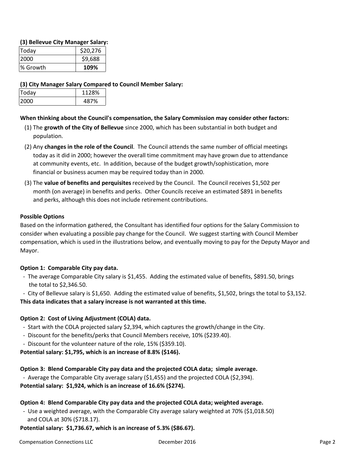# **(3) Bellevue City Manager Salary:**

| Today    | \$20,276 |
|----------|----------|
| 2000     | \$9,688  |
| % Growth | 109%     |

# **(3) City Manager Salary Compared to Council Member Salary:**

| Today | 1128% |
|-------|-------|
| 2000  | 487%  |

# **When thinking about the Council's compensation, the Salary Commission may consider other factors:**

- population. (1) The **growth of the City of Bellevue** since 2000, which has been substantial in both budget and
- (2) Any **changes in the role of the Council**. The Council attends the same number of official meetings today as it did in 2000; however the overall time commitment may have grown due to attendance at community events, etc. In addition, because of the budget growth/sophistication, more financial or business acumen may be required today than in 2000.
- (3) The **value of benefits and perquisites** received by the Council. The Council receives \$1,502 per month (on average) in benefits and perks. Other Councils receive an estimated \$891 in benefits and perks, although this does not include retirement contributions.

# **Possible Options**

Based on the information gathered, the Consultant has identified four options for the Salary Commission to consider when evaluating a possible pay change for the Council. We suggest starting with Council Member compensation, which is used in the illustrations below, and eventually moving to pay for the Deputy Mayor and Mayor.

# **Option 1: Comparable City pay data.**

 ‐ The average Comparable City salary is \$1,455. Adding the estimated value of benefits, \$891.50, brings the total to \$2,346.50.

 ‐ City of Bellevue salary is \$1,650. Adding the estimated value of benefits, \$1,502, brings the total to \$3,152. **This data indicates that a salary increase is not warranted at this time.**

# **Option 2: Cost of Living Adjustment (COLA) data.**

- ‐ Start with the COLA projected salary \$2,394, which captures the growth/change in the City.
- ‐ Discount for the benefits/perks that Council Members receive, 10% (\$239.40).
- ‐ Discount for the volunteer nature of the role, 15% (\$359.10).

**Potential salary: \$1,795, which is an increase of 8.8% (\$146).**

# **Option 3: Blend Comparable City pay data and the projected COLA data; simple average.**

‐ Average the Comparable City average salary (\$1,455) and the projected COLA (\$2,394).

**Potential salary: \$1,924, which is an increase of 16.6% (\$274).**

# **Option 4: Blend Comparable City pay data and the projected COLA data; weighted average.**

 ‐ Use a weighted average, with the Comparable City average salary weighted at 70% (\$1,018.50) and COLA at 30% (\$718.17).

**Potential salary: \$1,736.67, which is an increase of 5.3% (\$86.67).**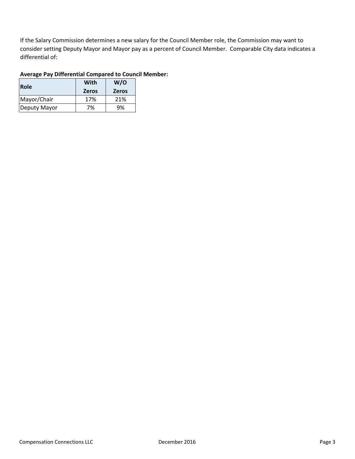If the Salary Commission determines a new salary for the Council Member role, the Commission may want to consider setting Deputy Mayor and Mayor pay as a percent of Council Member. Comparable City data indicates a differential of:

# **Average Pay Differential Compared to Council Member:**

| Role         | With<br><b>Zeros</b> | W/O<br><b>Zeros</b> |  |  |
|--------------|----------------------|---------------------|--|--|
| Mayor/Chair  | 17%                  | 21%                 |  |  |
| Deputy Mayor | 7%                   | 9%                  |  |  |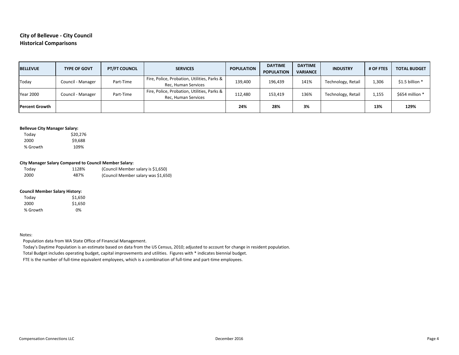# **City of Bellevue ‐ City Council Historical Comparisons**

| <b>BELLEVUE</b>       | <b>TYPE OF GOVT</b> | <b>PT/FT COUNCIL</b> | <b>SERVICES</b>                                                    | <b>POPULATION</b> | <b>DAYTIME</b><br><b>POPULATION</b> | <b>DAYTIME</b><br><b>VARIANCE</b> | <b>INDUSTRY</b>    | # OF FTES | <b>TOTAL BUDGET</b> |
|-----------------------|---------------------|----------------------|--------------------------------------------------------------------|-------------------|-------------------------------------|-----------------------------------|--------------------|-----------|---------------------|
| Today                 | Council - Manager   | Part-Time            | Fire, Police, Probation, Utilities, Parks &<br>Rec, Human Services | 139,400           | 196,439                             | 141%                              | Technology, Retail | 1,306     | \$1.5 billion *     |
| <b>Year 2000</b>      | Council - Manager   | Part-Time            | Fire, Police, Probation, Utilities, Parks &<br>Rec, Human Services | 112,480           | 153,419                             | 136%                              | Technology, Retail | 1,155     | \$654 million *     |
| <b>Percent Growth</b> |                     |                      |                                                                    | 24%               | 28%                                 | 3%                                |                    | 13%       | 129%                |

#### **Bellevue City Manager Salary:**

 Today \$20,276 2000 \$9,688 % Growth 109%

#### **City Manager Salary Compared to Council Member Salary:**

| Today | 1128% | (Council Member salary is \$1,650)  |
|-------|-------|-------------------------------------|
| 2000  | 487%  | (Council Member salary was \$1,650) |

#### **Council Member Salary History:**

| Today    | \$1,650 |
|----------|---------|
| 2000     | \$1,650 |
| % Growth | 0%      |

#### Notes:

Population data from WA State Office of Financial Management.

Today's Daytime Population is an estimate based on data from the US Census, 2010; adjusted to account for change in resident population.

Total Budget includes operating budget, capital improvements and utilities. Figures with \* indicates biennial budget.

FTE is the number of full-time equivalent employees, which is a combination of full-time and part-time employees.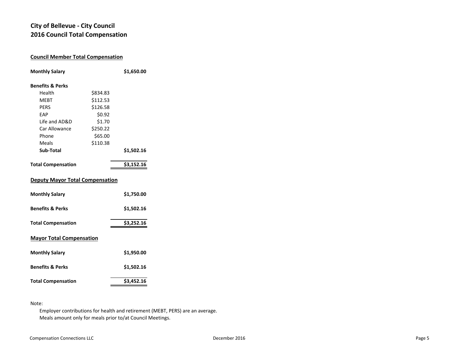# **City of Bellevue ‐ City Council 2016 Council Total Compensation**

# **Council Member Total Compensation Monthly Salary \$1,650.00 Benefits & Perks**Health \$834.83 MEBT \$112.53 PERS \$126.58 EAP \$0.92 Life and AD&D \$1.70 Car Allowance \$250.22 Phone \$65.00 Meals \$110.38 **Sub‐Total \$1,502.16 Total Compensation \$3,152.16 Deputy Mayor Total Compensation Monthly Salary \$1,750.00 Benefits & Perks \$1,502.16 Total Compensation \$3,252.16 Mayor Total Compensation Monthly Salary \$1,950.00 Benefits & Perks \$1,502.16** Total Compensation<br>  $$3,452.16$

#### Note:

Employer contributions for health and retirement (MEBT, PERS) are an average. Meals amount only for meals prior to/at Council Meetings.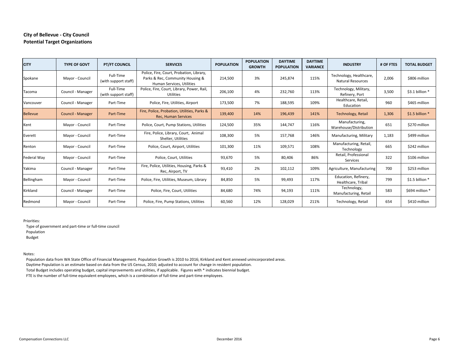### **City of Bellevue ‐ City Council Potential Target Organizations**

| <b>CITY</b>     | <b>TYPE OF GOVT</b> | <b>PT/FT COUNCIL</b>              | <b>SERVICES</b>                                                                                           | <b>POPULATION</b> | <b>POPULATION</b><br><b>GROWTH</b> | <b>DAYTIME</b><br><b>POPULATION</b> | <b>DAYTIME</b><br><b>VARIANCE</b> | <b>INDUSTRY</b>                                     | # OF FTES | <b>TOTAL BUDGET</b> |
|-----------------|---------------------|-----------------------------------|-----------------------------------------------------------------------------------------------------------|-------------------|------------------------------------|-------------------------------------|-----------------------------------|-----------------------------------------------------|-----------|---------------------|
| Spokane         | Mayor - Council     | Full-Time<br>(with support staff) | Police, Fire, Court, Probation, Library,<br>Parks & Rec, Community Housing &<br>Human Services, Utilities | 214,500           | 3%                                 | 245,874                             | 115%                              | Technology, Healthcare,<br><b>Natural Resources</b> | 2,006     | \$806 million       |
| Tacoma          | Council - Manager   | Full-Time<br>(with support staff) | Police, Fire, Court, Library, Power, Rail,<br>Utilities                                                   | 206,100           | 4%                                 | 232,760                             | 113%                              | Technology, Military,<br>Refinery, Port             | 3,500     | \$3.1 billion *     |
| Vancouver       | Council - Manager   | Part-Time                         | Police, Fire, Utilities, Airport                                                                          | 173,500           | 7%                                 | 188,595                             | 109%                              | Healthcare, Retail,<br>Education                    | 960       | \$465 million       |
| <b>Bellevue</b> | Council - Manager   | Part-Time                         | Fire, Police, Probation, Utilities, Parks &<br><b>Rec. Human Services</b>                                 | 139,400           | 14%                                | 196,439                             | 141%                              | <b>Technology, Retail</b>                           | 1,306     | \$1.5 billion *     |
| Kent            | Mayor - Council     | Part-Time                         | Police, Court, Pump Stations, Utilities                                                                   | 124,500           | 35%                                | 144,747                             | 116%                              | Manufacturing,<br>Warehouse/Distribution            | 651       | \$270 million       |
| Everett         | Mayor - Council     | Part-Time                         | Fire, Police, Library, Court, Animal<br>Shelter, Utilities                                                | 108,300           | 5%                                 | 157,768                             | 146%                              | Manufacturing, Military                             | 1,183     | \$499 million       |
| Renton          | Mayor - Council     | Part-Time                         | Police, Court, Airport, Utilities                                                                         | 101,300           | 11%                                | 109,571                             | 108%                              | Manufacturing, Retail,<br>Technology                | 665       | \$242 million       |
| Federal Way     | Mayor - Council     | Part-Time                         | Police, Court, Utilities                                                                                  | 93,670            | 5%                                 | 80,406                              | 86%                               | Retail, Professional<br>Services                    | 322       | \$106 million       |
| Yakima          | Council - Manager   | Part-Time                         | Fire, Police, Utilities, Housing, Parks &<br>Rec, Airport, TV                                             | 93,410            | 2%                                 | 102,112                             | 109%                              | Agriculture, Manufacturing                          | 700       | \$253 million       |
| Bellingham      | Mayor - Council     | Part-Time                         | Police, Fire, Utilities, Museum, Library                                                                  | 84,850            | 5%                                 | 99,493                              | 117%                              | Education, Refinery,<br>Healthcare. Tribal          | 799       | \$1.5 billion *     |
| Kirkland        | Council - Manager   | Part-Time                         | Police, Fire, Court, Utilities                                                                            | 84,680            | 74%                                | 94,193                              | 111%                              | Technology,<br>Manufacturing, Retail                | 583       | \$694 million *     |
| Redmond         | Mayor - Council     | Part-Time                         | Police, Fire, Pump Stations, Utilities                                                                    | 60,560            | 12%                                | 128,029                             | 211%                              | Technology, Retail                                  | 654       | \$410 million       |

Priorities:

 Type of government and part‐time or full‐time council Population Budget

Notes:

 Population data from WA State Office of Financial Management. Population Growth is 2010 to 2016; Kirkland and Kent annexed unincorporated areas. Daytime Population is an estimate based on data from the US Census, 2010; adjusted to account for change in resident population. Total Budget includes operating budget, capital improvements and utilities, if applicable. Figures with \* indicates biennial budget.

FTE is the number of full-time equivalent employees, which is a combination of full-time and part-time employees.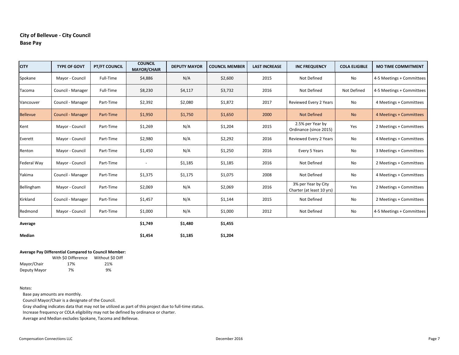# **City of Bellevue ‐ City Council Base Pay**

| <b>CITY</b>        | <b>TYPE OF GOVT</b>      | <b>PT/FT COUNCIL</b> | <b>COUNCIL</b><br><b>MAYOR/CHAIR</b> | <b>DEPUTY MAYOR</b> | <b>COUNCIL MEMBER</b> | <b>LAST INCREASE</b> | <b>INC FREQUENCY</b>                             | <b>COLA ELIGIBLE</b> | <b>MO TIME COMMITMENT</b> |
|--------------------|--------------------------|----------------------|--------------------------------------|---------------------|-----------------------|----------------------|--------------------------------------------------|----------------------|---------------------------|
| Spokane            | Mayor - Council          | Full-Time            | \$4,886                              | N/A                 | \$2,600               | 2015                 | Not Defined                                      | No                   | 4-5 Meetings + Committees |
| Tacoma             | Council - Manager        | Full-Time            | \$8,230                              | \$4,117             | \$3,732               | 2016                 | Not Defined                                      | Not Defined          | 4-5 Meetings + Committees |
| Vancouver          | Council - Manager        | Part-Time            | \$2,392                              | \$2,080             | \$1,872               | 2017                 | Reviewed Every 2 Years                           | No                   | 4 Meetings + Committees   |
| <b>Bellevue</b>    | <b>Council - Manager</b> | Part-Time            | \$1,950                              | \$1,750             | \$1,650               | 2000                 | <b>Not Defined</b>                               | <b>No</b>            | 4 Meetings + Committees   |
| Kent               | Mayor - Council          | Part-Time            | \$1,269                              | N/A                 | \$1,204               | 2015                 | 2.5% per Year by<br>Ordinance (since 2015)       | Yes                  | 2 Meetings + Committees   |
| Everett            | Mayor - Council          | Part-Time            | \$2,980                              | N/A                 | \$2,292               | 2016                 | Reviewed Every 2 Years                           | No                   | 4 Meetings + Committees   |
| Renton             | Mayor - Council          | Part-Time            | \$1,450                              | N/A                 | \$1,250               | 2016                 | Every 5 Years                                    | No                   | 3 Meetings + Committees   |
| <b>Federal Way</b> | Mayor - Council          | Part-Time            | $\overline{\phantom{a}}$             | \$1,185             | \$1,185               | 2016                 | Not Defined                                      | No                   | 2 Meetings + Committees   |
| Yakima             | Council - Manager        | Part-Time            | \$1,375                              | \$1,175             | \$1,075               | 2008                 | Not Defined                                      | No                   | 4 Meetings + Committees   |
| Bellingham         | Mayor - Council          | Part-Time            | \$2,069                              | N/A                 | \$2,069               | 2016                 | 3% per Year by City<br>Charter (at least 10 yrs) | Yes                  | 2 Meetings + Committees   |
| Kirkland           | Council - Manager        | Part-Time            | \$1,457                              | N/A                 | \$1,144               | 2015                 | Not Defined                                      | No                   | 2 Meetings + Committees   |
| Redmond            | Mayor - Council          | Part-Time            | \$1,000                              | N/A                 | \$1,000               | 2012                 | Not Defined                                      | No                   | 4-5 Meetings + Committees |
| Average            |                          |                      | \$1,749                              | \$1,480             | \$1,455               |                      |                                                  |                      |                           |

#### **Average Pay Differential Compared to Council Member:**

|              | With \$0 Difference | Without S0 Diff |
|--------------|---------------------|-----------------|
| Mayor/Chair  | 17%                 | 21%             |
| Deputy Mayor | 7%                  | 9%              |

#### Notes:

**Median**

Base pay amounts are monthly.

Council Mayor/Chair is a designate of the Council.

Gray shading indicates data that may not be utilized as part of this project due to full-time status.

**\$1,454 \$1,185 \$1,204**

Increase frequency or COLA eligibility may not be defined by ordinance or charter.

Average and Median excludes Spokane, Tacoma and Bellevue.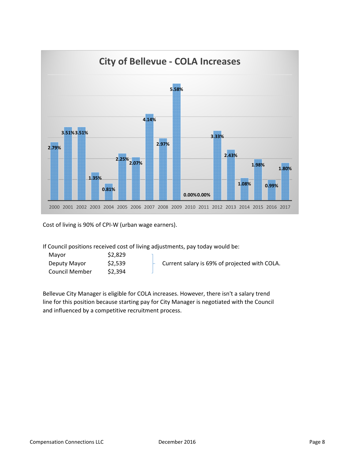

Cost of living is 90% of CPI‐W (urban wage earners).

If Council positions received cost of living adjustments, pay today would be:

| Mavor          | \$2,829 |                                               |
|----------------|---------|-----------------------------------------------|
| Deputy Mayor   | \$2,539 | Current salary is 69% of projected with COLA. |
| Council Member | \$2,394 |                                               |

Bellevue City Manager is eligible for COLA increases. However, there isn't a salary trend line for this position because starting pay for City Manager is negotiated with the Council and influenced by a competitive recruitment process.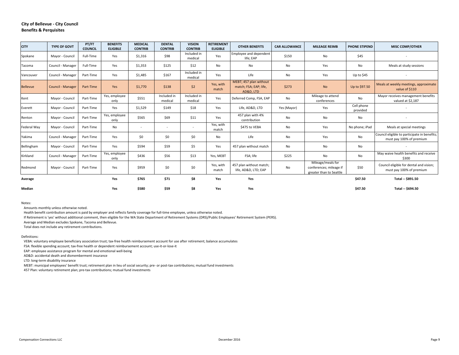| <b>CITY</b>     | <b>TYPE OF GOVT</b> | PT/FT<br><b>COUNCIL</b> | <b>BENEFITS</b><br><b>ELIGIBLE</b> | <b>MEDICAL</b><br><b>CONTRIB</b> | <b>DENTAL</b><br><b>CONTRIB</b> | <b>VISION</b><br><b>CONTRIB</b> | <b>RETIREMENT</b><br><b>ELIGIBLE</b> | <b>OTHER BENEFITS</b>                                         | <b>CAR ALLOWANCE</b> | <b>MILEAGE REIMB</b>                                                    | <b>PHONE STIPEND</b>   | <b>MISC COMP/OTHER</b>                                                   |
|-----------------|---------------------|-------------------------|------------------------------------|----------------------------------|---------------------------------|---------------------------------|--------------------------------------|---------------------------------------------------------------|----------------------|-------------------------------------------------------------------------|------------------------|--------------------------------------------------------------------------|
| Spokane         | Mayor - Council     | Full-Time               | Yes                                | \$1,316                          | \$98                            | Included in<br>medical          | Yes                                  | Employee and dependent<br>life; EAP                           | \$150                | No                                                                      | \$45                   |                                                                          |
| Tacoma          | Council - Manager   | Full-Time               | Yes                                | \$1,353                          | \$125                           | \$12                            | No                                   | No                                                            | No                   | Yes                                                                     | No                     | Meals at study sessions                                                  |
| Vancouver       | Council - Manager   | Part-Time               | Yes                                | \$1,485                          | \$167                           | Included in<br>medical          | Yes                                  | Life                                                          | No                   | Yes                                                                     | Up to \$45             |                                                                          |
| <b>Bellevue</b> | Council - Manager   | Part-Time               | Yes                                | \$1,770                          | \$138                           | \$2                             | Yes, with<br>match                   | MEBT; 457 plan without<br>match; FSA; EAP; life,<br>AD&D, LTD | \$273                | <b>No</b>                                                               | Up to \$97.50          | Meals at weekly meetings, approximate<br>value of \$110                  |
| Kent            | Mayor - Council     | Part-Time               | Yes, employee<br>only              | \$551                            | Included in<br>medical          | Included in<br>medical          | Yes                                  | Deferred Comp, FSA, EAP                                       | No                   | Mileage to attend<br>conferences                                        | <b>No</b>              | Mayor receives management benefits<br>valued at \$2,187                  |
| Everett         | Mayor - Council     | Part-Time               | Yes                                | \$1,529                          | \$149                           | \$18                            | Yes                                  | Life, AD&D, LTD                                               | Yes (Mayor)          | Yes                                                                     | Cell phone<br>provided |                                                                          |
| Renton          | Mayor - Council     | Part-Time               | Yes, employee<br>only              | \$565                            | \$69                            | \$11                            | Yes                                  | 457 plan with 4%<br>contribution                              | No                   | No                                                                      | No                     | $\overline{\phantom{a}}$                                                 |
| Federal Way     | Mayor - Council     | Part-Time               | No                                 | $\overline{\phantom{a}}$         |                                 | $\overline{\phantom{a}}$        | Yes, with<br>match                   | \$475 to VEBA                                                 | No                   | Yes                                                                     | No phone; iPad         | Meals at special meetings                                                |
| Yakima          | Council - Manager   | Part-Time               | Yes                                | \$0                              | \$0                             | \$0                             | No                                   | Life                                                          | No                   | Yes                                                                     | No                     | Council eligible to participate in benefits;<br>must pay 100% of premium |
| Bellingham      | Mayor - Council     | Part-Time               | Yes                                | \$594                            | \$59                            | \$5                             | Yes                                  | 457 plan without match                                        | No                   | No                                                                      | No                     |                                                                          |
| Kirkland        | Council - Manager   | Part-Time               | Yes, employee<br>only              | \$436                            | \$56                            | \$13                            | Yes, MEBT                            | FSA; life                                                     | \$225                | No                                                                      | No                     | May waive health benefits and receive<br>\$300                           |
| Redmond         | Mayor - Council     | Part-Time               | Yes                                | \$959                            | \$0                             | \$0                             | Yes, with<br>match                   | 457 plan without match;<br>life, AD&D, LTD; EAP               | No                   | Mileage/meals for<br>conferences; mileage if<br>greater than to Seattle | \$50                   | Council eligible for dental and vision;<br>must pay 100% of premium      |
| Average         |                     |                         | Yes                                | \$765                            | \$71                            | \$8                             | Yes                                  | Yes                                                           |                      |                                                                         | \$47.50                | Total -- \$891.50                                                        |
| Median          |                     |                         | Yes                                | \$580                            | \$59                            | \$8                             | Yes                                  | Yes                                                           |                      |                                                                         | \$47.50                | Total -- \$694.50                                                        |

Notes:

Amounts monthly unless otherwise noted.

Health benefit contribution amount is paid by employer and reflects family coverage for full-time employee, unless otherwise noted.

If Retirement is 'yes' without additional comment, then eligible for the WA State Department of Retirement Systems (DRS)/Public Employees' Retirement System (PERS).

Average and Median excludes Spokane, Tacoma and Bellevue.

Total does not include any retirement contributions.

#### Definitions:

VEBA: voluntary employee beneficiary association trust; tax‐free health reimbursement account for use after retirement; balance accumulates

FSA: flexible spending account; tax‐free health or dependent reimbursement account; use‐it‐or‐lose‐it

EAP: employee assistance program for mental and emotional well‐being

AD&D: accidental death and dismemberment insurance

LTD: long‐term disability insurance

MEBT: municipal employees' benefit trust; retirement plan in lieu of social security; pre‐ or post‐tax contributions; mutual fund investments

457 Plan: voluntary retirement plan; pre-tax contributions; mutual fund investments